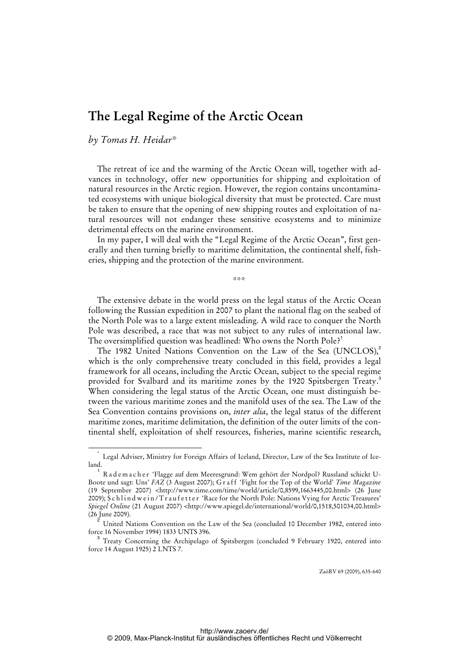## **The Legal Regime of the Arctic Ocean**

*by Tomas H. Heidar\** 

The retreat of ice and the warming of the Arctic Ocean will, together with advances in technology, offer new opportunities for shipping and exploitation of natural resources in the Arctic region. However, the region contains uncontaminated ecosystems with unique biological diversity that must be protected. Care must be taken to ensure that the opening of new shipping routes and exploitation of natural resources will not endanger these sensitive ecosystems and to minimize detrimental effects on the marine environment.

In my paper, I will deal with the "Legal Regime of the Arctic Ocean", first generally and then turning briefly to maritime delimitation, the continental shelf, fisheries, shipping and the protection of the marine environment.

\*\*\*

The extensive debate in the world press on the legal status of the Arctic Ocean following the Russian expedition in 2007 to plant the national flag on the seabed of the North Pole was to a large extent misleading. A wild race to conquer the North Pole was described, a race that was not subject to any rules of international law. The oversimplified question was headlined: Who owns the North Pole?<sup>1</sup>

The 1982 United Nations Convention on the Law of the Sea (UNCLOS),<sup>2</sup> which is the only comprehensive treaty concluded in this field, provides a legal framework for all oceans, including the Arctic Ocean, subject to the special regime provided for Svalbard and its maritime zones by the 1920 Spitsbergen Treaty.<sup>3</sup> When considering the legal status of the Arctic Ocean, one must distinguish between the various maritime zones and the manifold uses of the sea. The Law of the Sea Convention contains provisions on, *inter alia*, the legal status of the different maritime zones, maritime delimitation, the definition of the outer limits of the continental shelf, exploitation of shelf resources, fisheries, marine scientific research,

 <sup>\*</sup> Legal Adviser, Ministry for Foreign Affairs of Iceland, Director, Law of the Sea Institute of Iceland.

<sup>1</sup> R a d e m a c h e r 'Flagge auf dem Meeresgrund: Wem gehört der Nordpol? Russland schickt U-Boote und sagt: Uns' *FAZ* (3 August 2007); G r a f f 'Fight for the Top of the World' *Time Magazine* (19 September 2007) [<http://www.time.com/time/world/article/0,8599,1663445,00.html>](http://www.time.com/time/world/article/0,8599,1663445,00.html) (26 June 2009); Schlind wein/Traufetter 'Race for the North Pole: Nations Vying for Arctic Treasures' *Spiegel Online* (21 August 2007) <[http://www.spiegel.de/international/world/0,1518,501034,00.html>](http://www.spiegel.de/international/world/0,1518,501034,00.html) (26 June 2009).

<sup>2</sup> United Nations Convention on the Law of the Sea (concluded 10 December 1982, entered into force 16 November 1994) 1833 UNTS 396.

<sup>3</sup> Treaty Concerning the Archipelago of Spitsbergen (concluded 9 February 1920, entered into force 14 August 1925) 2 LNTS 7.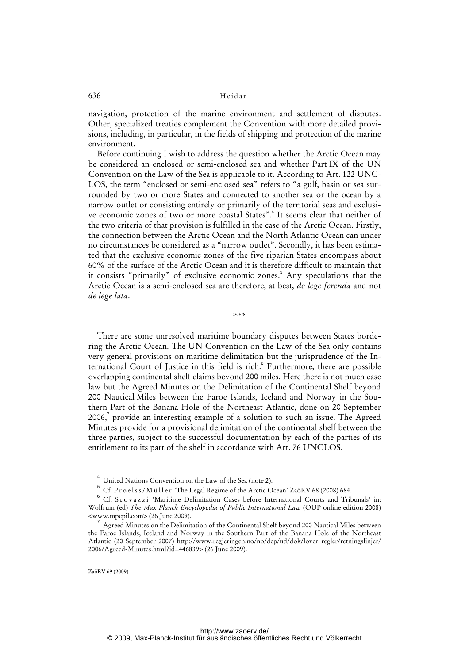636 Heidar

navigation, protection of the marine environment and settlement of disputes. Other, specialized treaties complement the Convention with more detailed provisions, including, in particular, in the fields of shipping and protection of the marine environment.

Before continuing I wish to address the question whether the Arctic Ocean may be considered an enclosed or semi-enclosed sea and whether Part IX of the UN Convention on the Law of the Sea is applicable to it. According to Art. 122 UNC-LOS, the term "enclosed or semi-enclosed sea" refers to "a gulf, basin or sea surrounded by two or more States and connected to another sea or the ocean by a narrow outlet or consisting entirely or primarily of the territorial seas and exclusive economic zones of two or more coastal States".<sup>4</sup> It seems clear that neither of the two criteria of that provision is fulfilled in the case of the Arctic Ocean. Firstly, the connection between the Arctic Ocean and the North Atlantic Ocean can under no circumstances be considered as a "narrow outlet". Secondly, it has been estimated that the exclusive economic zones of the five riparian States encompass about 60% of the surface of the Arctic Ocean and it is therefore difficult to maintain that it consists "primarily" of exclusive economic zones.<sup>5</sup> Any speculations that the Arctic Ocean is a semi-enclosed sea are therefore, at best, *de lege ferenda* and not *de lege lata*.

\*\*\*

There are some unresolved maritime boundary disputes between States bordering the Arctic Ocean. The UN Convention on the Law of the Sea only contains very general provisions on maritime delimitation but the jurisprudence of the International Court of Justice in this field is rich.<sup>6</sup> Furthermore, there are possible overlapping continental shelf claims beyond 200 miles. Here there is not much case law but the Agreed Minutes on the Delimitation of the Continental Shelf beyond 200 Nautical Miles between the Faroe Islands, Iceland and Norway in the Southern Part of the Banana Hole of the Northeast Atlantic, done on 20 September 2006, $^7$  provide an interesting example of a solution to such an issue. The Agreed Minutes provide for a provisional delimitation of the continental shelf between the three parties, subject to the successful documentation by each of the parties of its entitlement to its part of the shelf in accordance with Art. 76 UNCLOS.

<sup>4</sup> United Nations Convention on the Law of the Sea (note 2).

 $^5\,$  Cf. Proelss/Müller 'The Legal Regime of the Arctic Ocean' ZaöRV 68 (2008) 684.

<sup>6</sup> Cf. S c o v a z z i 'Maritime Delimitation Cases before International Courts and Tribunals' in: Wolfrum (ed) *The Max Planck Encyclopedia of Public International Law* (OUP online edition 2008) <www.mpepil.com> (26 June 2009).

<sup>7</sup> Agreed Minutes on the Delimitation of the Continental Shelf beyond 200 Nautical Miles between the Faroe Islands, Iceland and Norway in the Southern Part of the Banana Hole of the Northeast Atlantic (20 September 2007) [http://www.regjeringen.no/nb/dep/ud/dok/lover\\_regler/retningslinjer/](http://www.regjeringen.no/nb/dep/ud/dok/lover_regler/retningslinjer/) 2006/Agreed-Minutes.html?id=446839> (26 June 2009).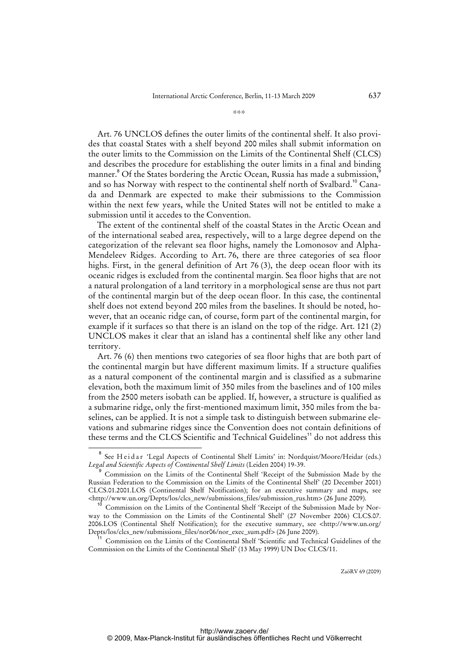\*\*\*

Art. 76 UNCLOS defines the outer limits of the continental shelf. It also provides that coastal States with a shelf beyond 200 miles shall submit information on the outer limits to the Commission on the Limits of the Continental Shelf (CLCS) and describes the procedure for establishing the outer limits in a final and binding manner.<sup>8</sup> Of the States bordering the Arctic Ocean, Russia has made a submission,<sup>8</sup> and so has Norway with respect to the continental shelf north of Svalbard.<sup>10</sup> Canada and Denmark are expected to make their submissions to the Commission within the next few years, while the United States will not be entitled to make a submission until it accedes to the Convention.

The extent of the continental shelf of the coastal States in the Arctic Ocean and of the international seabed area, respectively, will to a large degree depend on the categorization of the relevant sea floor highs, namely the Lomonosov and Alpha-Mendeleev Ridges. According to Art. 76, there are three categories of sea floor highs. First, in the general definition of Art 76 (3), the deep ocean floor with its oceanic ridges is excluded from the continental margin. Sea floor highs that are not a natural prolongation of a land territory in a morphological sense are thus not part of the continental margin but of the deep ocean floor. In this case, the continental shelf does not extend beyond 200 miles from the baselines. It should be noted, however, that an oceanic ridge can, of course, form part of the continental margin, for example if it surfaces so that there is an island on the top of the ridge. Art. 121 (2) UNCLOS makes it clear that an island has a continental shelf like any other land territory.

Art. 76 (6) then mentions two categories of sea floor highs that are both part of the continental margin but have different maximum limits. If a structure qualifies as a natural component of the continental margin and is classified as a submarine elevation, both the maximum limit of 350 miles from the baselines and of 100 miles from the 2500 meters isobath can be applied. If, however, a structure is qualified as a submarine ridge, only the first-mentioned maximum limit, 350 miles from the baselines, can be applied. It is not a simple task to distinguish between submarine elevations and submarine ridges since the Convention does not contain definitions of these terms and the CLCS Scientific and Technical Guidelines<sup>11</sup> do not address this

ZaöRV 69 (2009)

<sup>&</sup>lt;sup>8</sup> See Heidar 'Legal Aspects of Continental Shelf Limits' in: Nordquist/Moore/Heidar (eds.) *Legal and Scientific Aspects of Continental Shelf Limits* (Leiden 2004) 19-39.

<sup>9</sup> Commission on the Limits of the Continental Shelf 'Receipt of the Submission Made by the Russian Federation to the Commission on the Limits of the Continental Shelf' (20 December 2001) CLCS.01.2001.LOS (Continental Shelf Notification); for an executive summary and maps, see [<http://www.un.org/Depts/los/clcs\\_new/submissions\\_files/submission\\_rus.htm>](http://www.un.org/Depts/los/clcs_new/submissions_files/submission_rus.htm) (26 June 2009).

Commission on the Limits of the Continental Shelf 'Receipt of the Submission Made by Norway to the Commission on the Limits of the Continental Shelf' (27 November 2006) CLCS.07. 2006.LOS (Continental Shelf Notification); for the executive summary, see [<http://www.un.org/](http://www.un.org/) Depts/los/clcs\_new/submissions\_files/nor06/nor\_exec\_sum.pdf> (26 June 2009).

<sup>11</sup> Commission on the Limits of the Continental Shelf 'Scientific and Technical Guidelines of the Commission on the Limits of the Continental Shelf' (13 May 1999) UN Doc CLCS/11.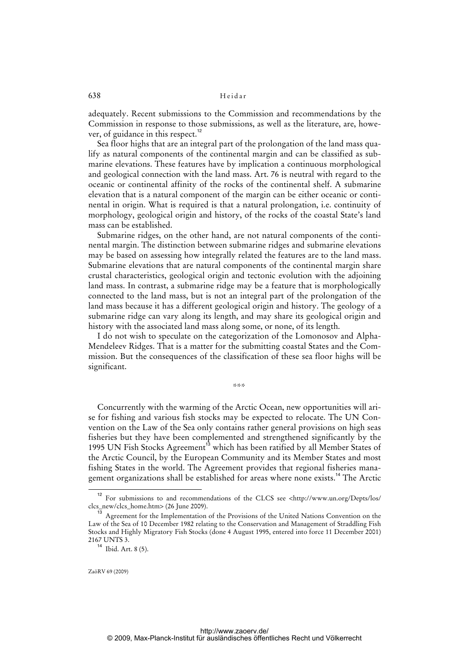## 638 Heidar

adequately. Recent submissions to the Commission and recommendations by the Commission in response to those submissions, as well as the literature, are, however, of guidance in this respect.<sup>12</sup>

Sea floor highs that are an integral part of the prolongation of the land mass qualify as natural components of the continental margin and can be classified as submarine elevations. These features have by implication a continuous morphological and geological connection with the land mass. Art. 76 is neutral with regard to the oceanic or continental affinity of the rocks of the continental shelf. A submarine elevation that is a natural component of the margin can be either oceanic or continental in origin. What is required is that a natural prolongation, i.e. continuity of morphology, geological origin and history, of the rocks of the coastal State's land mass can be established.

Submarine ridges, on the other hand, are not natural components of the continental margin. The distinction between submarine ridges and submarine elevations may be based on assessing how integrally related the features are to the land mass. Submarine elevations that are natural components of the continental margin share crustal characteristics, geological origin and tectonic evolution with the adjoining land mass. In contrast, a submarine ridge may be a feature that is morphologically connected to the land mass, but is not an integral part of the prolongation of the land mass because it has a different geological origin and history. The geology of a submarine ridge can vary along its length, and may share its geological origin and history with the associated land mass along some, or none, of its length.

I do not wish to speculate on the categorization of the Lomonosov and Alpha-Mendeleev Ridges. That is a matter for the submitting coastal States and the Commission. But the consequences of the classification of these sea floor highs will be significant.

\*\*\*

Concurrently with the warming of the Arctic Ocean, new opportunities will arise for fishing and various fish stocks may be expected to relocate. The UN Convention on the Law of the Sea only contains rather general provisions on high seas fisheries but they have been complemented and strengthened significantly by the 1995 UN Fish Stocks Agreement<sup>13</sup> which has been ratified by all Member States of the Arctic Council, by the European Community and its Member States and most fishing States in the world. The Agreement provides that regional fisheries management organizations shall be established for areas where none exists.<sup>14</sup> The Arctic

<sup>12</sup> For submissions to and recommendations of the CLCS see <<http://www.un.org/Depts/los/> clcs\_new/clcs\_home.htm> (26 June 2009).

<sup>&</sup>lt;sup>13</sup> Agreement for the Implementation of the Provisions of the United Nations Convention on the Law of the Sea of 10 December 1982 relating to the Conservation and Management of Straddling Fish Stocks and Highly Migratory Fish Stocks (done 4 August 1995, entered into force 11 December 2001) 2167 UNTS 3.

 $14$  Ibid. Art. 8 (5).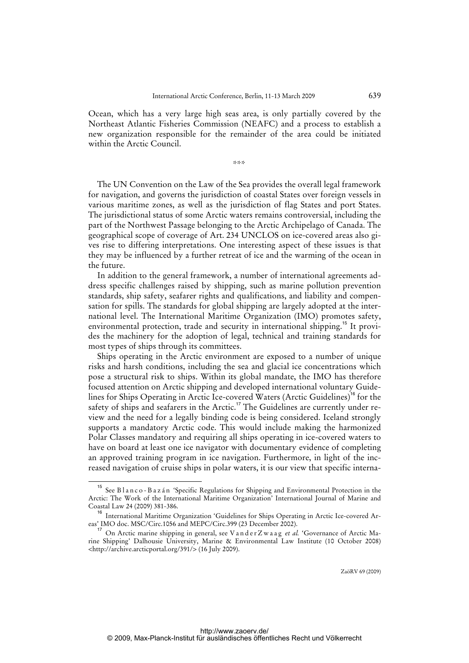Ocean, which has a very large high seas area, is only partially covered by the Northeast Atlantic Fisheries Commission (NEAFC) and a process to establish a new organization responsible for the remainder of the area could be initiated within the Arctic Council.

\*\*\*

The UN Convention on the Law of the Sea provides the overall legal framework for navigation, and governs the jurisdiction of coastal States over foreign vessels in various maritime zones, as well as the jurisdiction of flag States and port States. The jurisdictional status of some Arctic waters remains controversial, including the part of the Northwest Passage belonging to the Arctic Archipelago of Canada. The geographical scope of coverage of Art. 234 UNCLOS on ice-covered areas also gives rise to differing interpretations. One interesting aspect of these issues is that they may be influenced by a further retreat of ice and the warming of the ocean in the future.

In addition to the general framework, a number of international agreements address specific challenges raised by shipping, such as marine pollution prevention standards, ship safety, seafarer rights and qualifications, and liability and compensation for spills. The standards for global shipping are largely adopted at the international level. The International Maritime Organization (IMO) promotes safety, environmental protection, trade and security in international shipping.<sup>15</sup> It provides the machinery for the adoption of legal, technical and training standards for most types of ships through its committees.

Ships operating in the Arctic environment are exposed to a number of unique risks and harsh conditions, including the sea and glacial ice concentrations which pose a structural risk to ships. Within its global mandate, the IMO has therefore focused attention on Arctic shipping and developed international voluntary Guidelines for Ships Operating in Arctic Ice-covered Waters (Arctic Guidelines)<sup>16</sup> for the safety of ships and seafarers in the Arctic.<sup>17</sup> The Guidelines are currently under review and the need for a legally binding code is being considered. Iceland strongly supports a mandatory Arctic code. This would include making the harmonized Polar Classes mandatory and requiring all ships operating in ice-covered waters to have on board at least one ice navigator with documentary evidence of completing an approved training program in ice navigation. Furthermore, in light of the increased navigation of cruise ships in polar waters, it is our view that specific interna-

<sup>&</sup>lt;sup>15</sup> See Blanco-Bazán 'Specific Regulations for Shipping and Environmental Protection in the Arctic: The Work of the International Maritime Organization' International Journal of Marine and Coastal Law 24 (2009) 381-386.

<sup>16</sup> International Maritime Organization 'Guidelines for Ships Operating in Arctic Ice-covered Areas' IMO doc. MSC/Circ.1056 and MEPC/Circ.399 (23 December 2002).

<sup>&</sup>lt;sup>17</sup> On Arctic marine shipping in general, see V a n d e r Z w a a g *et al.* 'Governance of Arctic Marine Shipping' Dalhousie University, Marine & Environmental Law Institute (10 October 2008) [<http://archive.arcticportal.org/391/>](http://archive.arcticportal.org/391/) (16 July 2009).